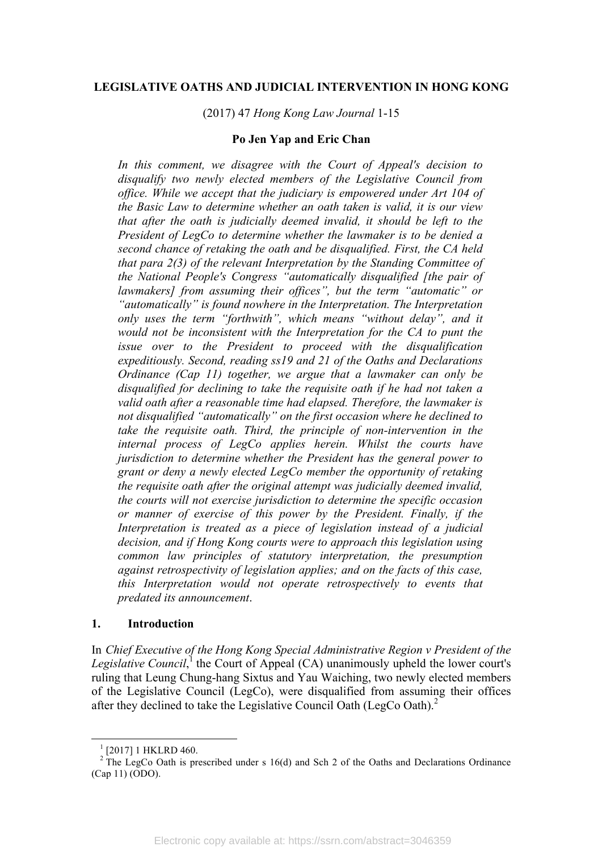## **LEGISLATIVE OATHS AND JUDICIAL INTERVENTION IN HONG KONG**

(2017) 47 *Hong Kong Law Journal* 1-15

#### **Po Jen Yap and Eric Chan**

*In this comment, we disagree with the Court of Appeal's decision to disqualify two newly elected members of the Legislative Council from office. While we accept that the judiciary is empowered under Art 104 of the Basic Law to determine whether an oath taken is valid, it is our view that after the oath is judicially deemed invalid, it should be left to the President of LegCo to determine whether the lawmaker is to be denied a second chance of retaking the oath and be disqualified. First, the CA held that para 2(3) of the relevant Interpretation by the Standing Committee of the National People's Congress "automatically disqualified [the pair of lawmakers] from assuming their offices", but the term "automatic" or "automatically" is found nowhere in the Interpretation. The Interpretation only uses the term "forthwith", which means "without delay", and it would not be inconsistent with the Interpretation for the CA to punt the issue over to the President to proceed with the disqualification expeditiously. Second, reading ss19 and 21 of the Oaths and Declarations Ordinance (Cap 11) together, we argue that a lawmaker can only be disqualified for declining to take the requisite oath if he had not taken a valid oath after a reasonable time had elapsed. Therefore, the lawmaker is not disqualified "automatically" on the first occasion where he declined to take the requisite oath. Third, the principle of non-intervention in the internal process of LegCo applies herein. Whilst the courts have jurisdiction to determine whether the President has the general power to grant or deny a newly elected LegCo member the opportunity of retaking the requisite oath after the original attempt was judicially deemed invalid, the courts will not exercise jurisdiction to determine the specific occasion or manner of exercise of this power by the President. Finally, if the Interpretation is treated as a piece of legislation instead of a judicial decision, and if Hong Kong courts were to approach this legislation using common law principles of statutory interpretation, the presumption against retrospectivity of legislation applies; and on the facts of this case, this Interpretation would not operate retrospectively to events that predated its announcement*.

### **1. Introduction**

In *Chief Executive of the Hong Kong Special Administrative Region v President of the*  Legislative Council,<sup>1</sup> the Court of Appeal (CA) unanimously upheld the lower court's ruling that Leung Chung-hang Sixtus and Yau Waiching, two newly elected members of the Legislative Council (LegCo), were disqualified from assuming their offices after they declined to take the Legislative Council Oath (LegCo Oath).<sup>2</sup>

 

<sup>&</sup>lt;sup>1</sup> [2017] 1 HKLRD 460. <sup>2</sup> The LegCo Oath is prescribed under s 16(d) and Sch 2 of the Oaths and Declarations Ordinance (Cap 11) (ODO).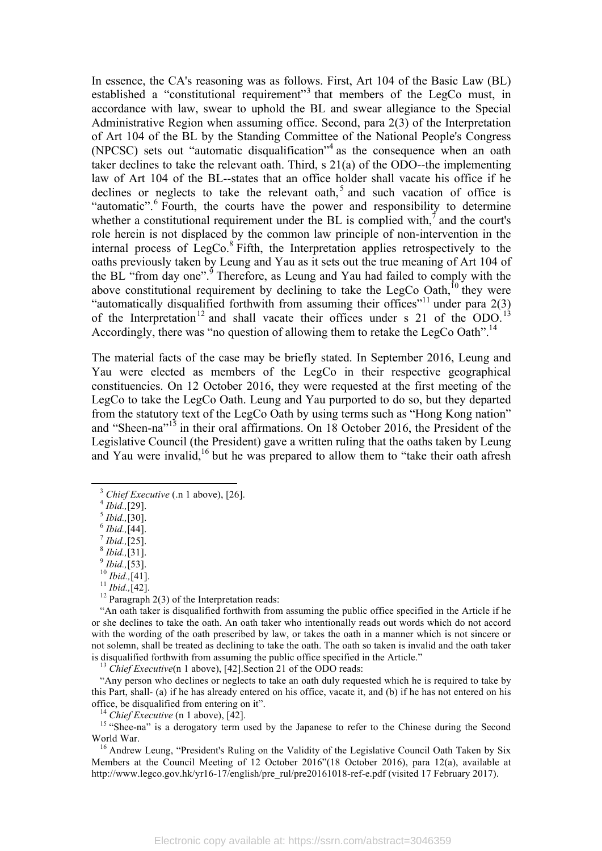In essence, the CA's reasoning was as follows. First, Art 104 of the Basic Law (BL) established a "constitutional requirement"<sup>3</sup> that members of the LegCo must, in accordance with law, swear to uphold the BL and swear allegiance to the Special Administrative Region when assuming office. Second, para 2(3) of the Interpretation of Art 104 of the BL by the Standing Committee of the National People's Congress (NPCSC) sets out "automatic disqualification"<sup>4</sup> as the consequence when an oath taker declines to take the relevant oath. Third, s 21(a) of the ODO--the implementing law of Art 104 of the BL--states that an office holder shall vacate his office if he declines or neglects to take the relevant oath,<sup>5</sup> and such vacation of office is "automatic".  $6$  Fourth, the courts have the power and responsibility to determine whether a constitutional requirement under the BL is complied with, $<sup>7</sup>$  and the court's</sup> role herein is not displaced by the common law principle of non-intervention in the internal process of LegCo. <sup>8</sup> Fifth, the Interpretation applies retrospectively to the oaths previously taken by Leung and Yau as it sets out the true meaning of Art 104 of the BL "from day one".<sup>9</sup> Therefore, as Leung and Yau had failed to comply with the above constitutional requirement by declining to take the LegCo Oath,<sup>10</sup> they were "automatically disqualified forthwith from assuming their offices"<sup>11</sup> under para  $2(3)$ of the Interpretation<sup>12</sup> and shall vacate their offices under s 21 of the ODO.<sup>13</sup> Accordingly, there was "no question of allowing them to retake the LegCo Oath".<sup>14</sup>

The material facts of the case may be briefly stated. In September 2016, Leung and Yau were elected as members of the LegCo in their respective geographical constituencies. On 12 October 2016, they were requested at the first meeting of the LegCo to take the LegCo Oath. Leung and Yau purported to do so, but they departed from the statutory text of the LegCo Oath by using terms such as "Hong Kong nation" and "Sheen-na"<sup>15</sup> in their oral affirmations. On 18 October 2016, the President of the Legislative Council (the President) gave a written ruling that the oaths taken by Leung and Yau were invalid,<sup>16</sup> but he was prepared to allow them to "take their oath afresh"

<u> 1989 - Jan Samuel Barbara, margaret e</u>

<sup>3</sup> *Chief Executive* (.n 1 above), [26].<br>
<sup>4</sup> *Ibid.*, [29].<br> *5 Ibid.*, [30].<br>
<sup>6</sup> *Ibid.*, [44].<br>
<sup>7</sup> *Ibid.*, [25].<br>
<sup>8</sup> *Ibid.*, [31].<br>
<sup>9</sup> *Ibid.*, [41].<br>
<sup>10</sup> *Ibid.*, [42].<br>
<sup>11</sup> *Ibid.*, [42].<br>
<sup>12</sup> Paragraph 2

"An oath taker is disqualified forthwith from assuming the public office specified in the Article if he or she declines to take the oath. An oath taker who intentionally reads out words which do not accord with the wording of the oath prescribed by law, or takes the oath in a manner which is not sincere or not solemn, shall be treated as declining to take the oath. The oath so taken is invalid and the oath taker is disqualified forthwith from assuming the public office specified in the Article." <sup>13</sup> *Chief Executive*(n 1 above), [42].Section 21 of the ODO reads:

"Any person who declines or neglects to take an oath duly requested which he is required to take by this Part, shall- (a) if he has already entered on his office, vacate it, and (b) if he has not entered on his office, be disqualified from entering on it".<br><sup>14</sup> *Chief Executive* (n 1 above), [42].<br><sup>15</sup> "Shee-na" is a derogatory term used by the Japanese to refer to the Chinese during the Second

World War.<br><sup>16</sup> Andrew Leung, "President's Ruling on the Validity of the Legislative Council Oath Taken by Six

Members at the Council Meeting of 12 October 2016"(18 October 2016), para 12(a), available at http://www.legco.gov.hk/yr16-17/english/pre\_rul/pre20161018-ref-e.pdf (visited 17 February 2017).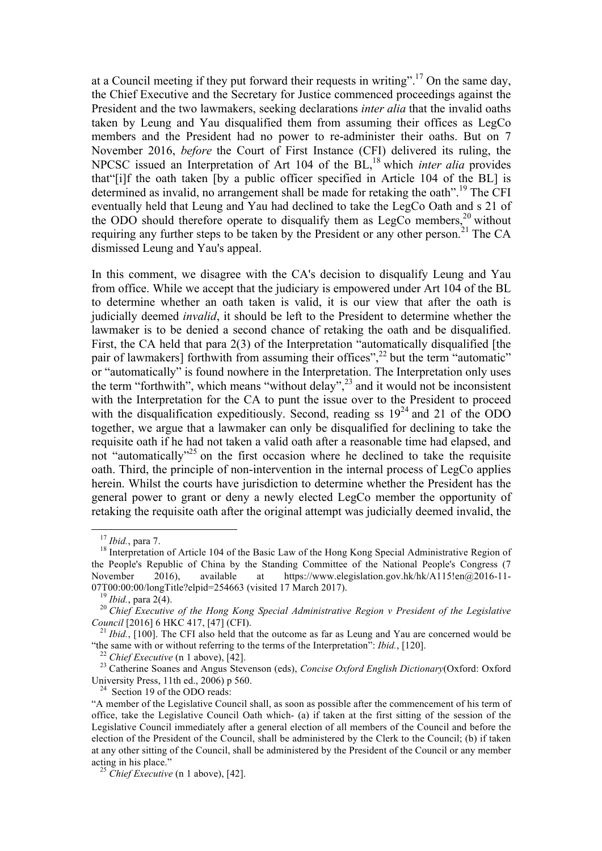at a Council meeting if they put forward their requests in writing".<sup>17</sup> On the same day, the Chief Executive and the Secretary for Justice commenced proceedings against the President and the two lawmakers, seeking declarations *inter alia* that the invalid oaths taken by Leung and Yau disqualified them from assuming their offices as LegCo members and the President had no power to re-administer their oaths. But on 7 November 2016, *before* the Court of First Instance (CFI) delivered its ruling, the NPCSC issued an Interpretation of Art 104 of the BL,<sup>18</sup> which *inter alia* provides that"[i]f the oath taken [by a public officer specified in Article 104 of the BL] is determined as invalid, no arrangement shall be made for retaking the oath".<sup>19</sup> The CFI eventually held that Leung and Yau had declined to take the LegCo Oath and s 21 of the ODO should therefore operate to disqualify them as LegCo members,  $^{20}$  without requiring any further steps to be taken by the President or any other person.<sup>21</sup> The CA dismissed Leung and Yau's appeal.

In this comment, we disagree with the CA's decision to disqualify Leung and Yau from office. While we accept that the judiciary is empowered under Art 104 of the BL to determine whether an oath taken is valid, it is our view that after the oath is judicially deemed *invalid*, it should be left to the President to determine whether the lawmaker is to be denied a second chance of retaking the oath and be disqualified. First, the CA held that para 2(3) of the Interpretation "automatically disqualified [the pair of lawmakers] forthwith from assuming their offices",<sup>22</sup> but the term "automatic" or "automatically" is found nowhere in the Interpretation. The Interpretation only uses the term "forthwith", which means "without delay",<sup>23</sup> and it would not be inconsistent with the Interpretation for the CA to punt the issue over to the President to proceed with the disqualification expeditiously. Second, reading ss  $19^{24}$  and 21 of the ODO together, we argue that a lawmaker can only be disqualified for declining to take the requisite oath if he had not taken a valid oath after a reasonable time had elapsed, and not "automatically"<sup>25</sup> on the first occasion where he declined to take the requisite oath. Third, the principle of non-intervention in the internal process of LegCo applies herein. Whilst the courts have jurisdiction to determine whether the President has the general power to grant or deny a newly elected LegCo member the opportunity of retaking the requisite oath after the original attempt was judicially deemed invalid, the

<sup>&</sup>lt;sup>17</sup> *Ibid.*, para 7.<br><sup>18</sup> Interpretation of Article 104 of the Basic Law of the Hong Kong Special Administrative Region of the People's Republic of China by the Standing Committee of the National People's Congress (7 November 2016), available at https://www.elegislation.gov.hk/hk/A115!en@2016-11-07T00:00:00/longTitle?elpid=254663 (visited 17 March 2017).

<sup>&</sup>lt;sup>19</sup> Ibid., para 2(4).<br><sup>20</sup> Chief Executive of the Hong Kong Special Administrative Region v President of the Legislative *Council* [2016] 6 HKC 417, [47] (CFI).<br><sup>21</sup> *Ibid.*, [100]. The CFI also held that the outcome as far as Leung and Yau are concerned would be

<sup>&</sup>quot;the same with or without referring to the terms of the Interpretation": *Ibid.*, [120].<br><sup>22</sup> Chief Executive (n 1 above), [42].<br><sup>23</sup> Catherine Soanes and Angus Stevenson (eds), *Concise Oxford English Dictionary*(Oxford:

 $24$  Section 19 of the ODO reads:

<sup>&</sup>quot;A member of the Legislative Council shall, as soon as possible after the commencement of his term of office, take the Legislative Council Oath which- (a) if taken at the first sitting of the session of the Legislative Council immediately after a general election of all members of the Council and before the election of the President of the Council, shall be administered by the Clerk to the Council; (b) if taken at any other sitting of the Council, shall be administered by the President of the Council or any member acting in his place." <sup>25</sup> *Chief Executive* (n 1 above), [42].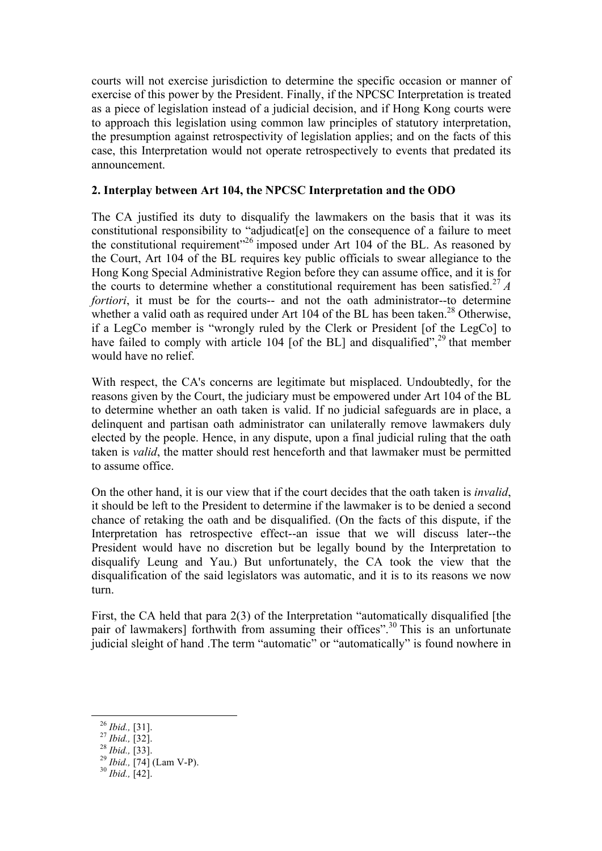courts will not exercise jurisdiction to determine the specific occasion or manner of exercise of this power by the President. Finally, if the NPCSC Interpretation is treated as a piece of legislation instead of a judicial decision, and if Hong Kong courts were to approach this legislation using common law principles of statutory interpretation, the presumption against retrospectivity of legislation applies; and on the facts of this case, this Interpretation would not operate retrospectively to events that predated its announcement.

# **2. Interplay between Art 104, the NPCSC Interpretation and the ODO**

The CA justified its duty to disqualify the lawmakers on the basis that it was its constitutional responsibility to "adjudicat[e] on the consequence of a failure to meet the constitutional requirement"26 imposed under Art 104 of the BL. As reasoned by the Court, Art 104 of the BL requires key public officials to swear allegiance to the Hong Kong Special Administrative Region before they can assume office, and it is for the courts to determine whether a constitutional requirement has been satisfied.<sup>27</sup>  $A$ *fortiori*, it must be for the courts-- and not the oath administrator--to determine whether a valid oath as required under Art 104 of the BL has been taken.<sup>28</sup> Otherwise, if a LegCo member is "wrongly ruled by the Clerk or President [of the LegCo] to have failed to comply with article 104 [of the BL] and disqualified",<sup>29</sup> that member would have no relief.

With respect, the CA's concerns are legitimate but misplaced. Undoubtedly, for the reasons given by the Court, the judiciary must be empowered under Art 104 of the BL to determine whether an oath taken is valid. If no judicial safeguards are in place, a delinquent and partisan oath administrator can unilaterally remove lawmakers duly elected by the people. Hence, in any dispute, upon a final judicial ruling that the oath taken is *valid*, the matter should rest henceforth and that lawmaker must be permitted to assume office.

On the other hand, it is our view that if the court decides that the oath taken is *invalid*, it should be left to the President to determine if the lawmaker is to be denied a second chance of retaking the oath and be disqualified. (On the facts of this dispute, if the Interpretation has retrospective effect--an issue that we will discuss later--the President would have no discretion but be legally bound by the Interpretation to disqualify Leung and Yau.) But unfortunately, the CA took the view that the disqualification of the said legislators was automatic, and it is to its reasons we now turn.

First, the CA held that para 2(3) of the Interpretation "automatically disqualified [the pair of lawmakers] forthwith from assuming their offices".<sup>30</sup> This is an unfortunate judicial sleight of hand .The term "automatic" or "automatically" is found nowhere in

<sup>&</sup>lt;u> 1989 - Jan Samuel Barbara, margaret e</u>

<sup>26</sup> *Ibid.,* [31]. <sup>27</sup> *Ibid.,* [32]. <sup>28</sup> *Ibid.,* [33]. <sup>29</sup> *Ibid.,* [74] (Lam V-P). <sup>30</sup> *Ibid.,* [42].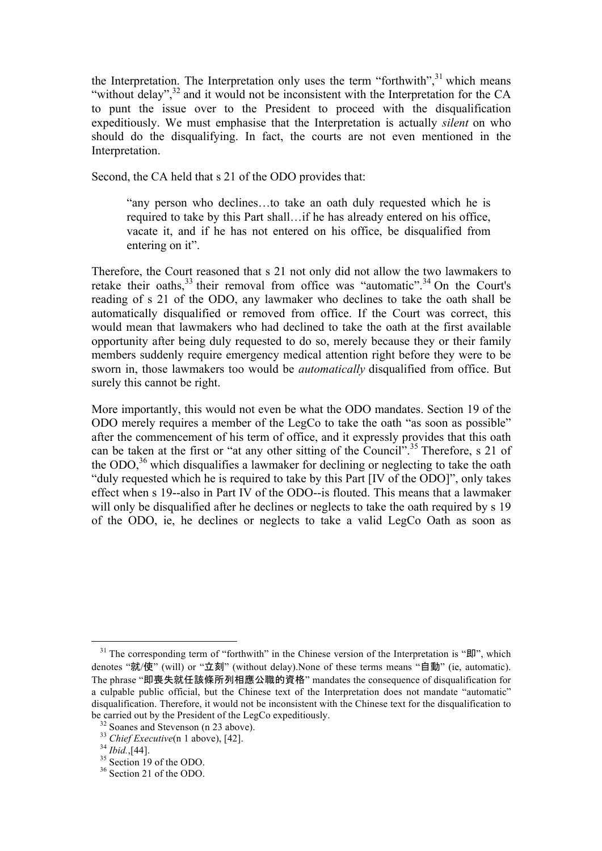the Interpretation. The Interpretation only uses the term "forthwith", $31$  which means "without delay", $32$  and it would not be inconsistent with the Interpretation for the CA to punt the issue over to the President to proceed with the disqualification expeditiously. We must emphasise that the Interpretation is actually *silent* on who should do the disqualifying. In fact, the courts are not even mentioned in the Interpretation.

Second, the CA held that s 21 of the ODO provides that:

"any person who declines․․․to take an oath duly requested which he is required to take by this Part shall․․․if he has already entered on his office, vacate it, and if he has not entered on his office, be disqualified from entering on it".

Therefore, the Court reasoned that s 21 not only did not allow the two lawmakers to retake their oaths,<sup>33</sup> their removal from office was "automatic".<sup>34</sup> On the Court's reading of s 21 of the ODO, any lawmaker who declines to take the oath shall be automatically disqualified or removed from office. If the Court was correct, this would mean that lawmakers who had declined to take the oath at the first available opportunity after being duly requested to do so, merely because they or their family members suddenly require emergency medical attention right before they were to be sworn in, those lawmakers too would be *automatically* disqualified from office. But surely this cannot be right.

More importantly, this would not even be what the ODO mandates. Section 19 of the ODO merely requires a member of the LegCo to take the oath "as soon as possible" after the commencement of his term of office, and it expressly provides that this oath can be taken at the first or "at any other sitting of the Council".<sup>35</sup> Therefore, s 21 of the  $ODO<sub>36</sub>$ , which disqualifies a lawmaker for declining or neglecting to take the oath "duly requested which he is required to take by this Part [IV of the ODO]", only takes effect when s 19--also in Part IV of the ODO--is flouted. This means that a lawmaker will only be disqualified after he declines or neglects to take the oath required by s 19 of the ODO, ie, he declines or neglects to take a valid LegCo Oath as soon as

 $31$  The corresponding term of "forthwith" in the Chinese version of the Interpretation is " $\mathbb{H}$ ", which denotes "就/使" (will) or "立刻" (without delay).None of these terms means "自動" (ie, automatic). The phrase "即喪失就任該條所列相應公職的資格" mandates the consequence of disqualification for a culpable public official, but the Chinese text of the Interpretation does not mandate "automatic" disqualification. Therefore, it would not be inconsistent with the Chinese text for the disqualification to be carried out by the President of the LegCo expeditiously.<br><sup>32</sup> Soanes and Stevenson (n 23 above).<br><sup>33</sup> *Chief Executive*(n 1 above), [42].<br><sup>34</sup> *Ibid.*,[44].<br><sup>35</sup> Section 19 of the ODO.<br><sup>36</sup> Section 21 of the ODO.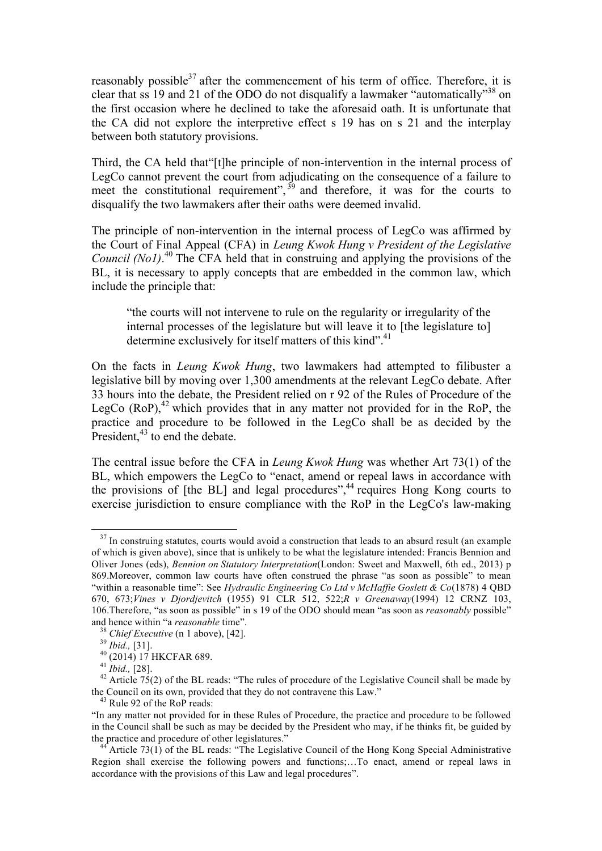reasonably possible $37$  after the commencement of his term of office. Therefore, it is clear that ss 19 and 21 of the ODO do not disqualify a lawmaker "automatically"38 on the first occasion where he declined to take the aforesaid oath. It is unfortunate that the CA did not explore the interpretive effect s 19 has on s 21 and the interplay between both statutory provisions.

Third, the CA held that"[t]he principle of non-intervention in the internal process of LegCo cannot prevent the court from adjudicating on the consequence of a failure to meet the constitutional requirement",  $39$  and therefore, it was for the courts to disqualify the two lawmakers after their oaths were deemed invalid.

The principle of non-intervention in the internal process of LegCo was affirmed by the Court of Final Appeal (CFA) in *Leung Kwok Hung v President of the Legislative*  Council (No1).<sup>40</sup> The CFA held that in construing and applying the provisions of the BL, it is necessary to apply concepts that are embedded in the common law, which include the principle that:

"the courts will not intervene to rule on the regularity or irregularity of the internal processes of the legislature but will leave it to [the legislature to] determine exclusively for itself matters of this kind".<sup>41</sup>

On the facts in *Leung Kwok Hung*, two lawmakers had attempted to filibuster a legislative bill by moving over 1,300 amendments at the relevant LegCo debate. After 33 hours into the debate, the President relied on r 92 of the Rules of Procedure of the LegCo  $(RoP)$ ,<sup>42</sup> which provides that in any matter not provided for in the RoP, the practice and procedure to be followed in the LegCo shall be as decided by the President,  $43$  to end the debate.

The central issue before the CFA in *Leung Kwok Hung* was whether Art 73(1) of the BL, which empowers the LegCo to "enact, amend or repeal laws in accordance with the provisions of  $[the BL]$  and legal procedures",<sup>44</sup> requires Hong Kong courts to exercise jurisdiction to ensure compliance with the RoP in the LegCo's law-making

<sup>&</sup>lt;sup>37</sup> In construing statutes, courts would avoid a construction that leads to an absurd result (an example of which is given above), since that is unlikely to be what the legislature intended: Francis Bennion and Oliver Jones (eds), *Bennion on Statutory Interpretation*(London: Sweet and Maxwell, 6th ed., 2013) p 869.Moreover, common law courts have often construed the phrase "as soon as possible" to mean "within a reasonable time": See *Hydraulic Engineering Co Ltd v McHaffie Goslett & Co*(1878) 4 QBD 670, 673;*Vines v Djordjevitch* (1955) 91 CLR 512, 522;*R v Greenaway*(1994) 12 CRNZ 103, 106.Therefore, "as soon as possible" in s 19 of the ODO should mean "as soon as *reasonably* possible" and hence within "a *reasonable* time".<br>
<sup>38</sup> Chief Executive (n 1 above), [42].<br>
<sup>39</sup> Ibid., [31].<br>
<sup>40</sup> (2014) 17 HKCFAR 689.<br>
<sup>41</sup> Ibid., [28].<br>
<sup>42</sup> Article 75(2) of the BL reads: "The rules of procedure of the Legisl

the Council on its own, provided that they do not contravene this Law."<br><sup>43</sup> Rule 92 of the RoP reads:

<sup>&</sup>quot;In any matter not provided for in these Rules of Procedure, the practice and procedure to be followed in the Council shall be such as may be decided by the President who may, if he thinks fit, be guided by the practice and procedure of other legislatures."

Article 73(1) of the BL reads: "The Legislative Council of the Hong Kong Special Administrative Region shall exercise the following powers and functions;...To enact, amend or repeal laws in accordance with the provisions of this Law and legal procedures".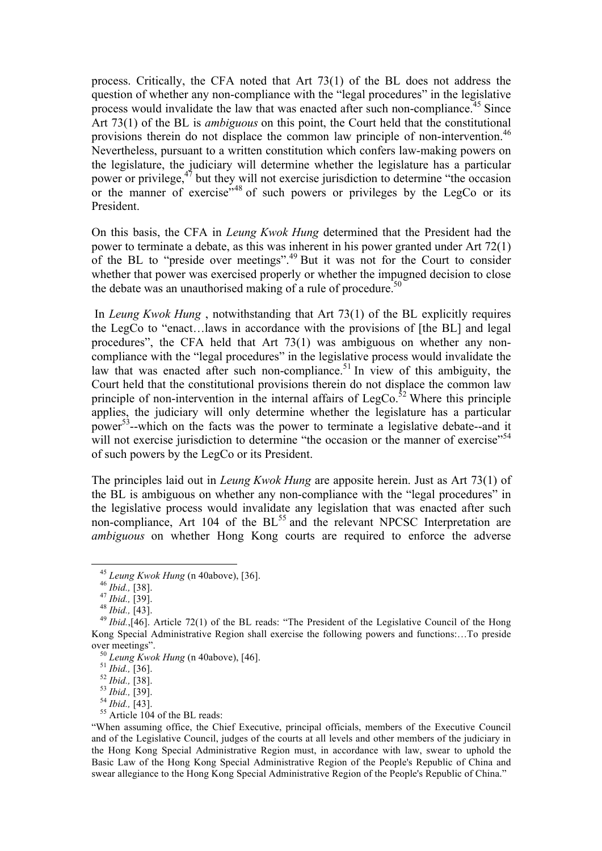process. Critically, the CFA noted that Art 73(1) of the BL does not address the question of whether any non-compliance with the "legal procedures" in the legislative process would invalidate the law that was enacted after such non-compliance.<sup>45</sup> Since Art 73(1) of the BL is *ambiguous* on this point, the Court held that the constitutional provisions therein do not displace the common law principle of non-intervention.<sup>46</sup> Nevertheless, pursuant to a written constitution which confers law-making powers on the legislature, the judiciary will determine whether the legislature has a particular power or privilege, $4^{\frac{3}{7}}$  but they will not exercise jurisdiction to determine "the occasion" or the manner of exercise"<sup>48</sup> of such powers or privileges by the LegCo or its President.

On this basis, the CFA in *Leung Kwok Hung* determined that the President had the power to terminate a debate, as this was inherent in his power granted under Art 72(1) of the BL to "preside over meetings".<sup>49</sup> But it was not for the Court to consider whether that power was exercised properly or whether the impugned decision to close the debate was an unauthorised making of a rule of procedure.<sup>50</sup>

In *Leung Kwok Hung* , notwithstanding that Art 73(1) of the BL explicitly requires the LegCo to "enact․․․laws in accordance with the provisions of [the BL] and legal procedures", the CFA held that Art 73(1) was ambiguous on whether any noncompliance with the "legal procedures" in the legislative process would invalidate the law that was enacted after such non-compliance.<sup>51</sup> In view of this ambiguity, the Court held that the constitutional provisions therein do not displace the common law principle of non-intervention in the internal affairs of LegCo.<sup>52</sup> Where this principle applies, the judiciary will only determine whether the legislature has a particular power<sup>53</sup>--which on the facts was the power to terminate a legislative debate--and it will not exercise jurisdiction to determine "the occasion or the manner of exercise"<sup>54</sup> of such powers by the LegCo or its President.

The principles laid out in *Leung Kwok Hung* are apposite herein. Just as Art 73(1) of the BL is ambiguous on whether any non-compliance with the "legal procedures" in the legislative process would invalidate any legislation that was enacted after such non-compliance, Art 104 of the BL<sup>55</sup> and the relevant NPCSC Interpretation are *ambiguous* on whether Hong Kong courts are required to enforce the adverse

 

<sup>&</sup>lt;sup>45</sup> *Leung Kwok Hung* (n 40above), [36].<br><sup>46</sup> *Ibid.*, [38].<br><sup>47</sup> *Ibid.*, [39].<br><sup>48</sup> *Ibid.*, [43].<br><sup>49</sup> *Ibid.*,[46]. Article 72(1) of the BL reads: "The President of the Legislative Council of the Hong Kong Special Administrative Region shall exercise the following powers and functions:․․․To preside over meetings".<br><sup>50</sup> *Leung Kwok Hung* (n 40above), [46].<br><sup>51</sup> *Ibid.*, [36].<br><sup>52</sup> *Ibid.*, [38].<br><sup>53</sup> *Ibid.*, [39].<br><sup>54</sup> *Ibid.*, [43].<br><sup>55</sup> Article 104 of the BL reads:

<sup>&</sup>quot;When assuming office, the Chief Executive, principal officials, members of the Executive Council and of the Legislative Council, judges of the courts at all levels and other members of the judiciary in the Hong Kong Special Administrative Region must, in accordance with law, swear to uphold the Basic Law of the Hong Kong Special Administrative Region of the People's Republic of China and swear allegiance to the Hong Kong Special Administrative Region of the People's Republic of China."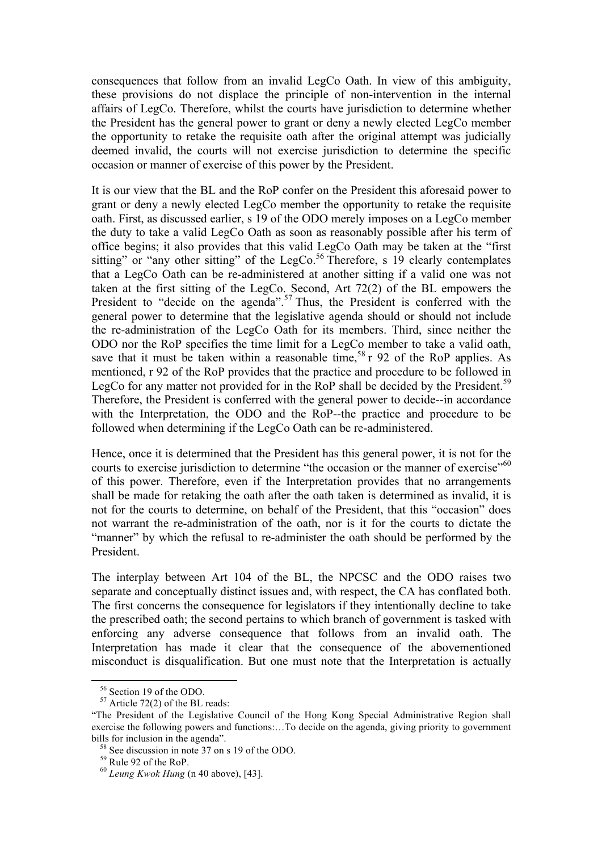consequences that follow from an invalid LegCo Oath. In view of this ambiguity, these provisions do not displace the principle of non-intervention in the internal affairs of LegCo. Therefore, whilst the courts have jurisdiction to determine whether the President has the general power to grant or deny a newly elected LegCo member the opportunity to retake the requisite oath after the original attempt was judicially deemed invalid, the courts will not exercise jurisdiction to determine the specific occasion or manner of exercise of this power by the President.

It is our view that the BL and the RoP confer on the President this aforesaid power to grant or deny a newly elected LegCo member the opportunity to retake the requisite oath. First, as discussed earlier, s 19 of the ODO merely imposes on a LegCo member the duty to take a valid LegCo Oath as soon as reasonably possible after his term of office begins; it also provides that this valid LegCo Oath may be taken at the "first sitting" or "any other sitting" of the LegCo.<sup>56</sup> Therefore, s 19 clearly contemplates that a LegCo Oath can be re-administered at another sitting if a valid one was not taken at the first sitting of the LegCo. Second, Art 72(2) of the BL empowers the President to "decide on the agenda".<sup>57</sup> Thus, the President is conferred with the general power to determine that the legislative agenda should or should not include the re-administration of the LegCo Oath for its members. Third, since neither the ODO nor the RoP specifies the time limit for a LegCo member to take a valid oath, save that it must be taken within a reasonable time,<sup>58</sup> r 92 of the RoP applies. As mentioned, r 92 of the RoP provides that the practice and procedure to be followed in LegCo for any matter not provided for in the RoP shall be decided by the President.<sup>59</sup> Therefore, the President is conferred with the general power to decide--in accordance with the Interpretation, the ODO and the RoP--the practice and procedure to be followed when determining if the LegCo Oath can be re-administered.

Hence, once it is determined that the President has this general power, it is not for the courts to exercise jurisdiction to determine "the occasion or the manner of exercise"<sup>60</sup> of this power. Therefore, even if the Interpretation provides that no arrangements shall be made for retaking the oath after the oath taken is determined as invalid, it is not for the courts to determine, on behalf of the President, that this "occasion" does not warrant the re-administration of the oath, nor is it for the courts to dictate the "manner" by which the refusal to re-administer the oath should be performed by the President.

The interplay between Art 104 of the BL, the NPCSC and the ODO raises two separate and conceptually distinct issues and, with respect, the CA has conflated both. The first concerns the consequence for legislators if they intentionally decline to take the prescribed oath; the second pertains to which branch of government is tasked with enforcing any adverse consequence that follows from an invalid oath. The Interpretation has made it clear that the consequence of the abovementioned misconduct is disqualification. But one must note that the Interpretation is actually

 $56$  Section 19 of the ODO.<br> $57$  Article 72(2) of the BL reads:

<sup>&</sup>quot;The President of the Legislative Council of the Hong Kong Special Administrative Region shall exercise the following powers and functions:...To decide on the agenda, giving priority to government

bills for inclusion in the agenda".<br><sup>58</sup> See discussion in note 37 on s 19 of the ODO.<br><sup>59</sup> Rule 92 of the RoP.<br><sup>60</sup> *Leung Kwok Hung* (n 40 above), [43].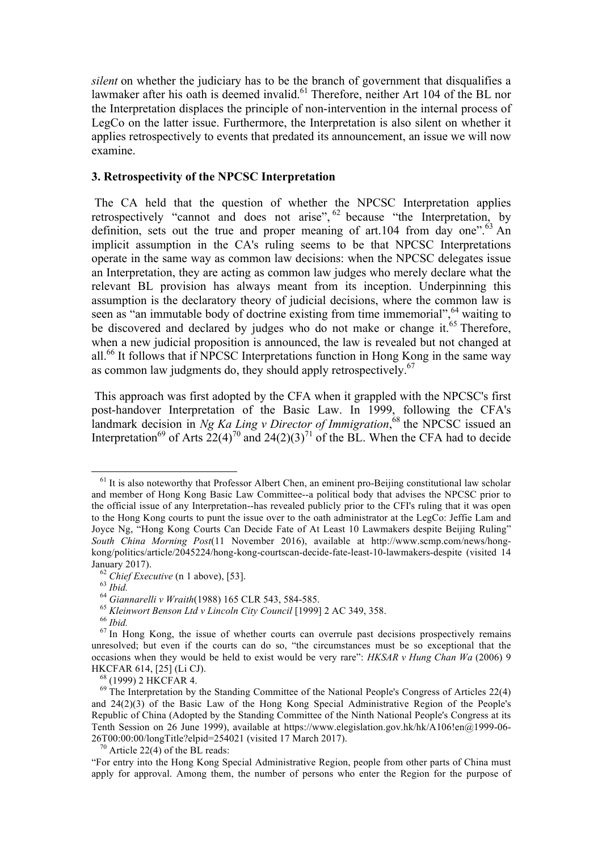*silent* on whether the judiciary has to be the branch of government that disqualifies a lawmaker after his oath is deemed invalid.<sup>61</sup> Therefore, neither Art 104 of the BL nor the Interpretation displaces the principle of non-intervention in the internal process of LegCo on the latter issue. Furthermore, the Interpretation is also silent on whether it applies retrospectively to events that predated its announcement, an issue we will now examine.

### **3. Retrospectivity of the NPCSC Interpretation**

The CA held that the question of whether the NPCSC Interpretation applies retrospectively "cannot and does not arise", <sup>62</sup> because "the Interpretation, by definition, sets out the true and proper meaning of art.104 from day one".<sup>63</sup> An implicit assumption in the CA's ruling seems to be that NPCSC Interpretations operate in the same way as common law decisions: when the NPCSC delegates issue an Interpretation, they are acting as common law judges who merely declare what the relevant BL provision has always meant from its inception. Underpinning this assumption is the declaratory theory of judicial decisions, where the common law is seen as "an immutable body of doctrine existing from time immemorial", <sup>64</sup> waiting to be discovered and declared by judges who do not make or change it.<sup>65</sup> Therefore, when a new judicial proposition is announced, the law is revealed but not changed at all.<sup>66</sup> It follows that if NPCSC Interpretations function in Hong Kong in the same way as common law judgments do, they should apply retrospectively.<sup>67</sup>

This approach was first adopted by the CFA when it grappled with the NPCSC's first post-handover Interpretation of the Basic Law. In 1999, following the CFA's landmark decision in *Ng Ka Ling v Director of Immigration*, <sup>68</sup> the NPCSC issued an Interpretation<sup>69</sup> of Arts  $22(4)^{70}$  and  $24(2)(3)^{71}$  of the BL. When the CFA had to decide

 $<sup>61</sup>$  It is also noteworthy that Professor Albert Chen, an eminent pro-Beijing constitutional law scholar</sup> and member of Hong Kong Basic Law Committee--a political body that advises the NPCSC prior to the official issue of any Interpretation--has revealed publicly prior to the CFI's ruling that it was open to the Hong Kong courts to punt the issue over to the oath administrator at the LegCo: Jeffie Lam and Joyce Ng, "Hong Kong Courts Can Decide Fate of At Least 10 Lawmakers despite Beijing Ruling" *South China Morning Post*(11 November 2016), available at http://www.scmp.com/news/hongkong/politics/article/2045224/hong-kong-courtscan-decide-fate-least-10-lawmakers-despite (visited 14 January 2017).<br>
<sup>62</sup> Chief Executive (n 1 above), [53].<br>
<sup>63</sup> Ibid.<br>
<sup>64</sup> Giannarelli v Wraith (1988) 165 CLR 543, 584-585.<br>
<sup>65</sup> Kleinwort Benson Ltd v Lincoln City Council [1999] 2 AC 349, 358.<br>
<sup>66</sup> Ibid.<br>
<sup>67</sup> In Hong

unresolved; but even if the courts can do so, "the circumstances must be so exceptional that the occasions when they would be held to exist would be very rare": *HKSAR v Hung Chan Wa* (2006) 9

HKCFAR 614, [25] (Li CJ).<br><sup>68</sup> (1999) 2 HKCFAR 4.<br><sup>69</sup> The Interpretation by the Standing Committee of the National People's Congress of Articles 22(4) and 24(2)(3) of the Basic Law of the Hong Kong Special Administrative Region of the People's Republic of China (Adopted by the Standing Committee of the Ninth National People's Congress at its Tenth Session on 26 June 1999), available at https://www.elegislation.gov.hk/hk/A106!en@1999-06-26T00:00:00/longTitle?elpid=254021 (visited 17 March 2017).<br><sup>70</sup> Article 22(4) of the BL reads:

<sup>&</sup>quot;For entry into the Hong Kong Special Administrative Region, people from other parts of China must apply for approval. Among them, the number of persons who enter the Region for the purpose of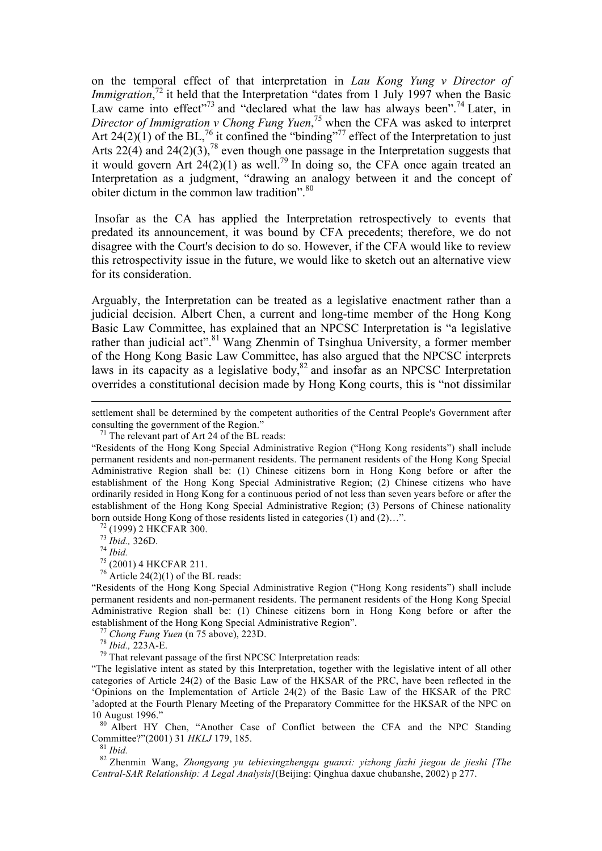on the temporal effect of that interpretation in *Lau Kong Yung v Director of*  Immigration,<sup>72</sup> it held that the Interpretation "dates from 1 July 1997 when the Basic Law came into effect"<sup>73</sup> and "declared what the law has always been".<sup>74</sup> Later, in *Director of Immigration v Chong Fung Yuen*, <sup>75</sup> when the CFA was asked to interpret Art 24(2)(1) of the BL,<sup>76</sup> it confined the "binding"<sup>77</sup> effect of the Interpretation to just Arts  $22(4)$  and  $24(2)(3)$ ,<sup>78</sup> even though one passage in the Interpretation suggests that it would govern Art  $24(2)(1)$  as well.<sup>79</sup> In doing so, the CFA once again treated an Interpretation as a judgment, "drawing an analogy between it and the concept of obiter dictum in the common law tradition".<sup>80</sup>

Insofar as the CA has applied the Interpretation retrospectively to events that predated its announcement, it was bound by CFA precedents; therefore, we do not disagree with the Court's decision to do so. However, if the CFA would like to review this retrospectivity issue in the future, we would like to sketch out an alternative view for its consideration.

Arguably, the Interpretation can be treated as a legislative enactment rather than a judicial decision. Albert Chen, a current and long-time member of the Hong Kong Basic Law Committee, has explained that an NPCSC Interpretation is "a legislative rather than judicial act".<sup>81</sup> Wang Zhenmin of Tsinghua University, a former member of the Hong Kong Basic Law Committee, has also argued that the NPCSC interprets laws in its capacity as a legislative body, ${}^{82}$  and insofar as an NPCSC Interpretation overrides a constitutional decision made by Hong Kong courts, this is "not dissimilar

"Residents of the Hong Kong Special Administrative Region ("Hong Kong residents") shall include permanent residents and non-permanent residents. The permanent residents of the Hong Kong Special Administrative Region shall be: (1) Chinese citizens born in Hong Kong before or after the establishment of the Hong Kong Special Administrative Region".<br>
<sup>77</sup> *Chong Fung Yuen* (n 75 above), 223D.<br>
<sup>78</sup> *Ibid.*, 223A-E.<br>
<sup>79</sup> That relevant passage of the first NPCSC Interpretation reads:

"The legislative intent as stated by this Interpretation, together with the legislative intent of all other categories of Article 24(2) of the Basic Law of the HKSAR of the PRC, have been reflected in the 'Opinions on the Implementation of Article 24(2) of the Basic Law of the HKSAR of the PRC 'adopted at the Fourth Plenary Meeting of the Preparatory Committee for the HKSAR of the NPC on

10 August 1996."<br><sup>80</sup> Albert HY Chen, "Another Case of Conflict between the CFA and the NPC Standing Committee?"(2001) 31 HKLJ 179, 185.

<sup>81</sup> *Ibid.* <sup>82</sup> *Zhenmin Wang, Zhongyang yu tebiexingzhengqu guanxi: yizhong fazhi jiegou de jieshi [The* <sup>82</sup> **Zhenmin Wang,** *Zhongyang yu tebiexingzhengqu guanxi: yizhong fazhi jiegou de jieshi [The Central-SAR Relationship: A Legal Analysis]*(Beijing: Qinghua daxue chubanshe, 2002) p 277.

<sup>&</sup>lt;u> 1989 - Andrea Stationen, Amerikaansk politiker († 1989)</u> settlement shall be determined by the competent authorities of the Central People's Government after consulting the government of the Region."<br><sup>71</sup> The relevant part of Art 24 of the BL reads:

<sup>&</sup>quot;Residents of the Hong Kong Special Administrative Region ("Hong Kong residents") shall include permanent residents and non-permanent residents. The permanent residents of the Hong Kong Special Administrative Region shall be: (1) Chinese citizens born in Hong Kong before or after the establishment of the Hong Kong Special Administrative Region; (2) Chinese citizens who have ordinarily resided in Hong Kong for a continuous period of not less than seven years before or after the establishment of the Hong Kong Special Administrative Region; (3) Persons of Chinese nationality born outside Hong Kong of those residents listed in categories (1) and (2)...".<br><sup>72</sup> (1999) 2 HKCFAR 300.<br><sup>73</sup> *Ibid.*, 326D.<br><sup>74</sup> *Ibid.*<br><sup>75</sup> (2001) 4 HKCFAR 211.<br><sup>76</sup> Article 24(2)(1) of the BL reads: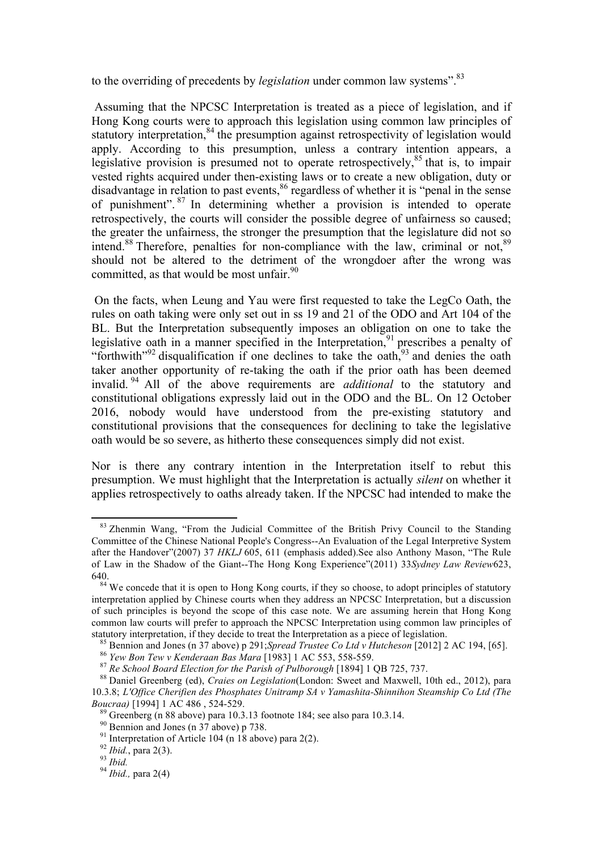to the overriding of precedents by *legislation* under common law systems".<sup>83</sup>

Assuming that the NPCSC Interpretation is treated as a piece of legislation, and if Hong Kong courts were to approach this legislation using common law principles of statutory interpretation,<sup>84</sup> the presumption against retrospectivity of legislation would apply. According to this presumption, unless a contrary intention appears, a legislative provision is presumed not to operate retrospectively,<sup>85</sup> that is, to impair vested rights acquired under then-existing laws or to create a new obligation, duty or disadvantage in relation to past events,<sup>86</sup> regardless of whether it is "penal in the sense of punishment". <sup>87</sup> In determining whether a provision is intended to operate retrospectively, the courts will consider the possible degree of unfairness so caused; the greater the unfairness, the stronger the presumption that the legislature did not so intend.<sup>88</sup> Therefore, penalties for non-compliance with the law, criminal or not.<sup>89</sup> should not be altered to the detriment of the wrongdoer after the wrong was committed, as that would be most unfair.<sup>90</sup>

On the facts, when Leung and Yau were first requested to take the LegCo Oath, the rules on oath taking were only set out in ss 19 and 21 of the ODO and Art 104 of the BL. But the Interpretation subsequently imposes an obligation on one to take the legislative oath in a manner specified in the Interpretation,<sup>91</sup> prescribes a penalty of "forthwith"<sup>92</sup> disqualification if one declines to take the oath,<sup>93</sup> and denies the oath taker another opportunity of re-taking the oath if the prior oath has been deemed invalid. <sup>94</sup> All of the above requirements are *additional* to the statutory and constitutional obligations expressly laid out in the ODO and the BL. On 12 October 2016, nobody would have understood from the pre-existing statutory and constitutional provisions that the consequences for declining to take the legislative oath would be so severe, as hitherto these consequences simply did not exist.

Nor is there any contrary intention in the Interpretation itself to rebut this presumption. We must highlight that the Interpretation is actually *silent* on whether it applies retrospectively to oaths already taken. If the NPCSC had intended to make the

<sup>&</sup>lt;sup>83</sup> Zhenmin Wang, "From the Judicial Committee of the British Privy Council to the Standing Committee of the Chinese National People's Congress--An Evaluation of the Legal Interpretive System after the Handover"(2007) 37 *HKLJ* 605, 611 (emphasis added).See also Anthony Mason, "The Rule of Law in the Shadow of the Giant--The Hong Kong Experience"(2011) 33*Sydney Law Review*623, 640.<br><sup>84</sup> We concede that it is open to Hong Kong courts, if they so choose, to adopt principles of statutory

interpretation applied by Chinese courts when they address an NPCSC Interpretation, but a discussion of such principles is beyond the scope of this case note. We are assuming herein that Hong Kong common law courts will prefer to approach the NPCSC Interpretation using common law principles of

statutory interpretation, if they decide to treat the Interpretation as a piece of legislation.<br><sup>85</sup> Bennion and Jones (n 37 above) p 291; Spread Trustee Co Ltd v Hutcheson [2012] 2 AC 194, [65].<br><sup>86</sup> Yew Bon Tew v Kender

<sup>10.3.8;</sup> *L'Office Cherifien des Phosphates Unitramp SA v Yamashita-Shinnihon Steamship Co Ltd (The* 

<sup>&</sup>lt;sup>89</sup> Greenberg (n 88 above) para 10.3.13 footnote 184; see also para 10.3.14.<br><sup>90</sup> Bennion and Jones (n 37 above) p 738.<br><sup>91</sup> Interpretation of Article 104 (n 18 above) para 2(2).<br><sup>92</sup> Ibid., para 2(3).<br><sup>93</sup> Ibid. <sup>94</sup> Ib